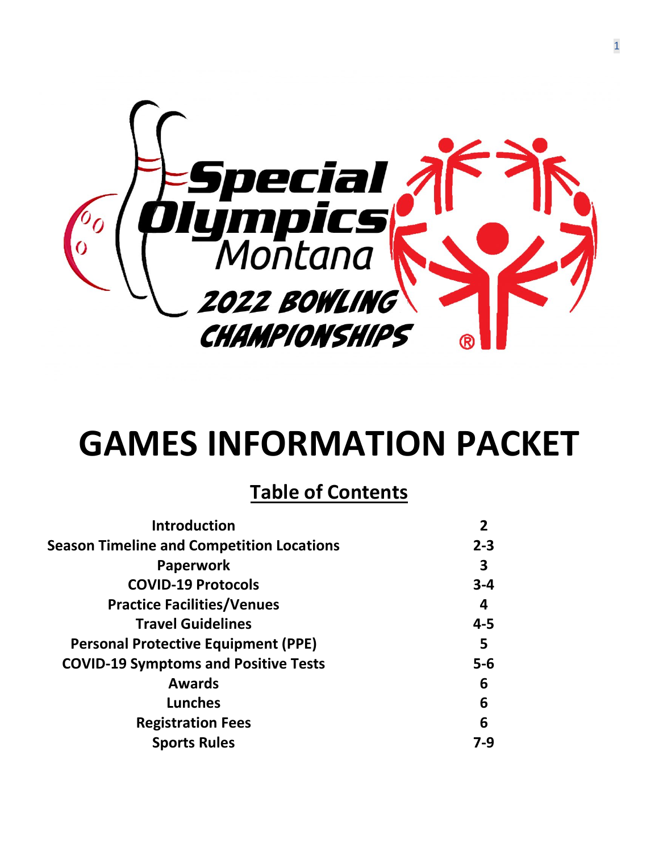

# **GAMES INFORMATION PACKET**

### **Table of Contents**

| <b>Introduction</b>                              |         |
|--------------------------------------------------|---------|
| <b>Season Timeline and Competition Locations</b> | $2 - 3$ |
| <b>Paperwork</b>                                 | 3       |
| <b>COVID-19 Protocols</b>                        | $3 - 4$ |
| <b>Practice Facilities/Venues</b>                | 4       |
| <b>Travel Guidelines</b>                         | 4-5     |
| <b>Personal Protective Equipment (PPE)</b>       | 5       |
| <b>COVID-19 Symptoms and Positive Tests</b>      | $5-6$   |
| <b>Awards</b>                                    | 6       |
| <b>Lunches</b>                                   | 6       |
| <b>Registration Fees</b>                         | 6       |
| <b>Sports Rules</b>                              | 7-9     |
|                                                  |         |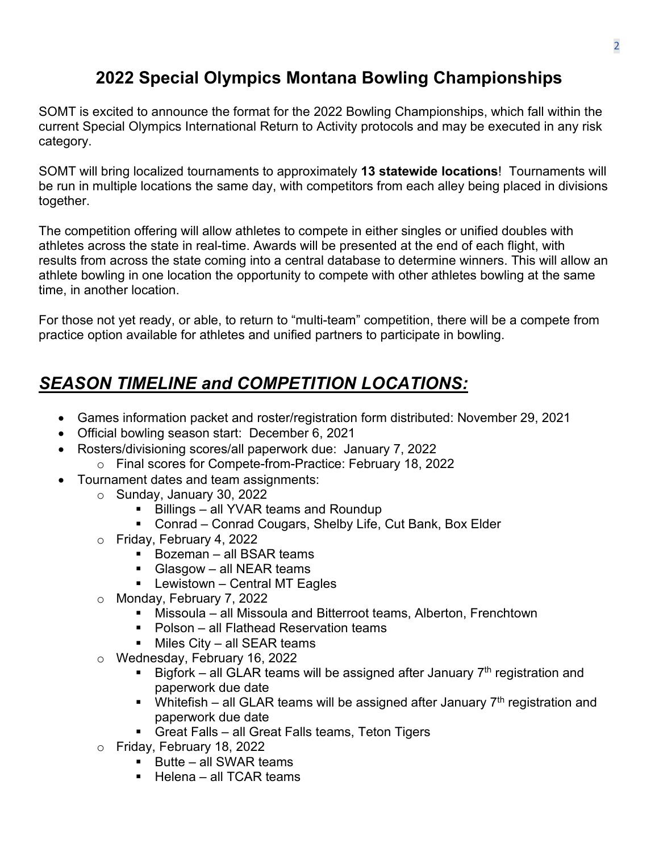#### **2022 Special Olympics Montana Bowling Championships**

SOMT is excited to announce the format for the 2022 Bowling Championships, which fall within the current Special Olympics International Return to Activity protocols and may be executed in any risk category.

SOMT will bring localized tournaments to approximately **13 statewide locations**! Tournaments will be run in multiple locations the same day, with competitors from each alley being placed in divisions together.

The competition offering will allow athletes to compete in either singles or unified doubles with athletes across the state in real-time. Awards will be presented at the end of each flight, with results from across the state coming into a central database to determine winners. This will allow an athlete bowling in one location the opportunity to compete with other athletes bowling at the same time, in another location.

For those not yet ready, or able, to return to "multi-team" competition, there will be a compete from practice option available for athletes and unified partners to participate in bowling.

### *SEASON TIMELINE and COMPETITION LOCATIONS:*

- Games information packet and roster/registration form distributed: November 29, 2021
- Official bowling season start: December 6, 2021
- Rosters/divisioning scores/all paperwork due: January 7, 2022
	- o Final scores for Compete-from-Practice: February 18, 2022
- Tournament dates and team assignments:
	- o Sunday, January 30, 2022
		- Billings all YVAR teams and Roundup
		- Conrad Conrad Cougars, Shelby Life, Cut Bank, Box Elder
	- o Friday, February 4, 2022
		- $\blacksquare$  Bozeman all BSAR teams
		- Glasgow all NEAR teams
		- $\blacksquare$  Lewistown Central MT Eagles
	- o Monday, February 7, 2022
		- Missoula all Missoula and Bitterroot teams, Alberton, Frenchtown
		- Polson all Flathead Reservation teams
		- $\blacksquare$  Miles City all SEAR teams
	- o Wednesday, February 16, 2022<br>Bigfork all GI AR teams
		- Bigfork all GLAR teams will be assigned after January  $7<sup>th</sup>$  registration and paperwork due date
		- Whitefish all GLAR teams will be assigned after January  $7<sup>th</sup>$  registration and paperwork due date
		- **Great Falls all Great Falls teams, Teton Tigers**
	- o Friday, February 18, 2022
		- $\blacksquare$  Butte all SWAR teams
		- $\blacksquare$  Helena all TCAR teams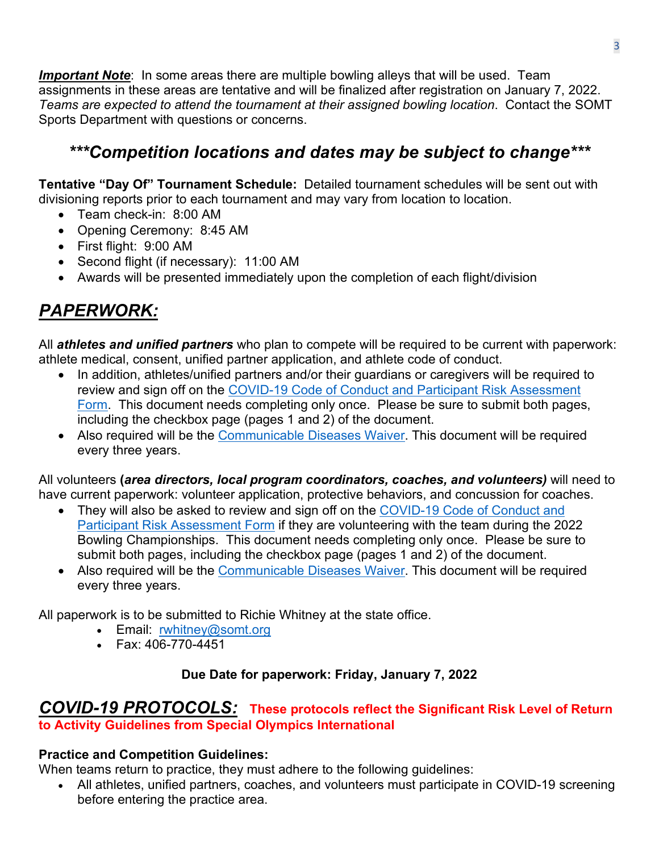**Important Note**: In some areas there are multiple bowling alleys that will be used. Team assignments in these areas are tentative and will be finalized after registration on January 7, 2022. *Teams are expected to attend the tournament at their assigned bowling location*. Contact the SOMT Sports Department with questions or concerns.

#### *\*\*\*Competition locations and dates may be subject to change\*\*\**

**Tentative "Day Of" Tournament Schedule:** Detailed tournament schedules will be sent out with divisioning reports prior to each tournament and may vary from location to location.

- Team check-in: 8:00 AM
- Opening Ceremony: 8:45 AM
- First flight: 9:00 AM
- Second flight (if necessary): 11:00 AM
- Awards will be presented immediately upon the completion of each flight/division

### *PAPERWORK:*

All *athletes and unified partners* who plan to compete will be required to be current with paperwork: athlete medical, consent, unified partner application, and athlete code of conduct.

- In addition, athletes/unified partners and/or their guardians or caregivers will be required to review and sign off on the [COVID-19 Code of Conduct and Participant Risk Assessment](https://www.somt.org/wp-content/uploads/2021/10/COVID-19-Participant-Code-of-Conduct-and-Risk-Form-with-alert.pdf)  [Form.](https://www.somt.org/wp-content/uploads/2021/10/COVID-19-Participant-Code-of-Conduct-and-Risk-Form-with-alert.pdf) This document needs completing only once. Please be sure to submit both pages, including the checkbox page (pages 1 and 2) of the document.
- Also required will be the [Communicable Diseases Waiver.](https://www.somt.org/wp-content/uploads/2021/03/Communicable-Disease-Waiver-and-Release-of-Liability.pdf) This document will be required every three years.

All volunteers **(***area directors, local program coordinators, coaches, and volunteers)* will need to have current paperwork: volunteer application, protective behaviors, and concussion for coaches.

- They will also be asked to review and sign off on the COVID-19 Code of Conduct and [Participant Risk Assessment Form](https://www.somt.org/wp-content/uploads/2021/10/COVID-19-Participant-Code-of-Conduct-and-Risk-Form-with-alert.pdf) if they are volunteering with the team during the 2022 Bowling Championships. This document needs completing only once. Please be sure to submit both pages, including the checkbox page (pages 1 and 2) of the document.
- Also required will be the [Communicable Diseases Waiver.](https://www.somt.org/wp-content/uploads/2021/03/Communicable-Disease-Waiver-and-Release-of-Liability.pdf) This document will be required every three years.

All paperwork is to be submitted to Richie Whitney at the state office.

- Email: rwhitney@somt.org
- Fax: 406-770-4451

#### **Due Date for paperwork: Friday, January 7, 2022**

#### *COVID-19 PROTOCOLS:* **These protocols reflect the Significant Risk Level of Return to Activity Guidelines from Special Olympics International**

#### **Practice and Competition Guidelines:**

When teams return to practice, they must adhere to the following guidelines:

• All athletes, unified partners, coaches, and volunteers must participate in COVID-19 screening before entering the practice area.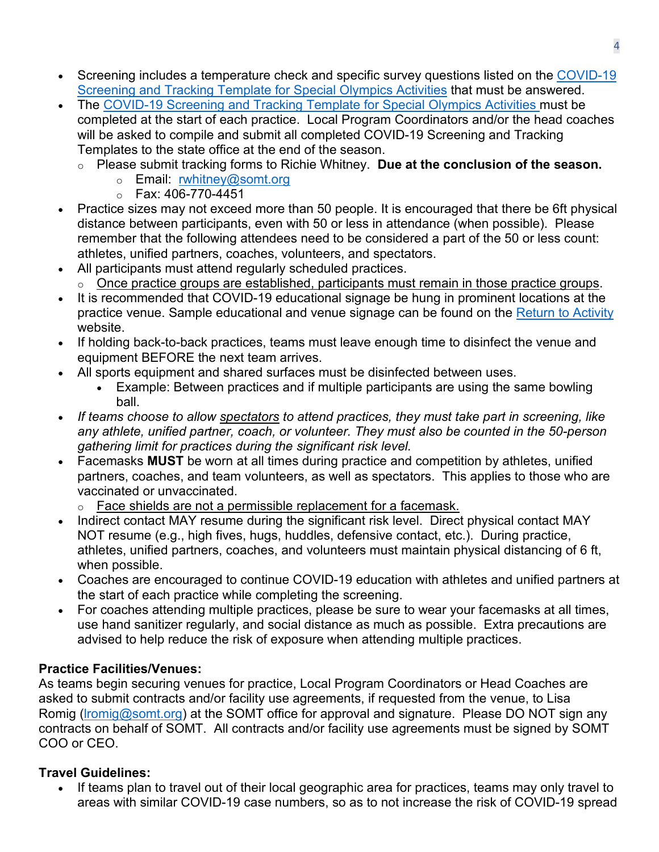- Screening includes a temperature check and specific survey questions listed on the COVID-19 [Screening and Tracking Template for Special Olympics Activities](https://media.specialolympics.org/resources/covid-19/Screening-and-Tracking-Template-for-Special-Olympics-Activities-June-2021.pdf?_ga=2.212562704.525714503.1629203299-35232598.1595546417) that must be answered.
- The [COVID-19 Screening and Tracking Template for Special Olympics Activities](https://media.specialolympics.org/resources/covid-19/Screening-and-Tracking-Template-for-Special-Olympics-Activities-June-2021.pdf?_ga=2.212562704.525714503.1629203299-35232598.1595546417) must be completed at the start of each practice. Local Program Coordinators and/or the head coaches will be asked to compile and submit all completed COVID-19 Screening and Tracking Templates to the state office at the end of the season.
	- o Please submit tracking forms to Richie Whitney. **Due at the conclusion of the season.**
		- o Email: [rwhitney@somt.org](mailto:rwhitney@somt.org)
		- o Fax: 406-770-4451
- Practice sizes may not exceed more than 50 people. It is encouraged that there be 6ft physical distance between participants, even with 50 or less in attendance (when possible). Please remember that the following attendees need to be considered a part of the 50 or less count: athletes, unified partners, coaches, volunteers, and spectators.
- All participants must attend regularly scheduled practices.
	- o Once practice groups are established, participants must remain in those practice groups.
- It is recommended that COVID-19 educational signage be hung in prominent locations at the practice venue. Sample educational and venue signage can be found on the [Return to Activity](https://resources.specialolympics.org/resources-to-help-during-the-crisis/return-to-activities-during-covid-19) website.
- If holding back-to-back practices, teams must leave enough time to disinfect the venue and equipment BEFORE the next team arrives.
- All sports equipment and shared surfaces must be disinfected between uses.
	- Example: Between practices and if multiple participants are using the same bowling ball.
- *If teams choose to allow spectators to attend practices, they must take part in screening, like any athlete, unified partner, coach, or volunteer. They must also be counted in the 50-person gathering limit for practices during the significant risk level.*
- Facemasks **MUST** be worn at all times during practice and competition by athletes, unified partners, coaches, and team volunteers, as well as spectators. This applies to those who are vaccinated or unvaccinated.
	- o Face shields are not a permissible replacement for a facemask.
- Indirect contact MAY resume during the significant risk level. Direct physical contact MAY NOT resume (e.g., high fives, hugs, huddles, defensive contact, etc.). During practice, athletes, unified partners, coaches, and volunteers must maintain physical distancing of 6 ft, when possible.
- Coaches are encouraged to continue COVID-19 education with athletes and unified partners at the start of each practice while completing the screening.
- For coaches attending multiple practices, please be sure to wear your facemasks at all times, use hand sanitizer regularly, and social distance as much as possible. Extra precautions are advised to help reduce the risk of exposure when attending multiple practices.

#### **Practice Facilities/Venues:**

As teams begin securing venues for practice, Local Program Coordinators or Head Coaches are asked to submit contracts and/or facility use agreements, if requested from the venue, to Lisa Romig (Iromig@somt.org) at the SOMT office for approval and signature. Please DO NOT sign any contracts on behalf of SOMT. All contracts and/or facility use agreements must be signed by SOMT COO or CEO.

#### **Travel Guidelines:**

• If teams plan to travel out of their local geographic area for practices, teams may only travel to areas with similar COVID-19 case numbers, so as to not increase the risk of COVID-19 spread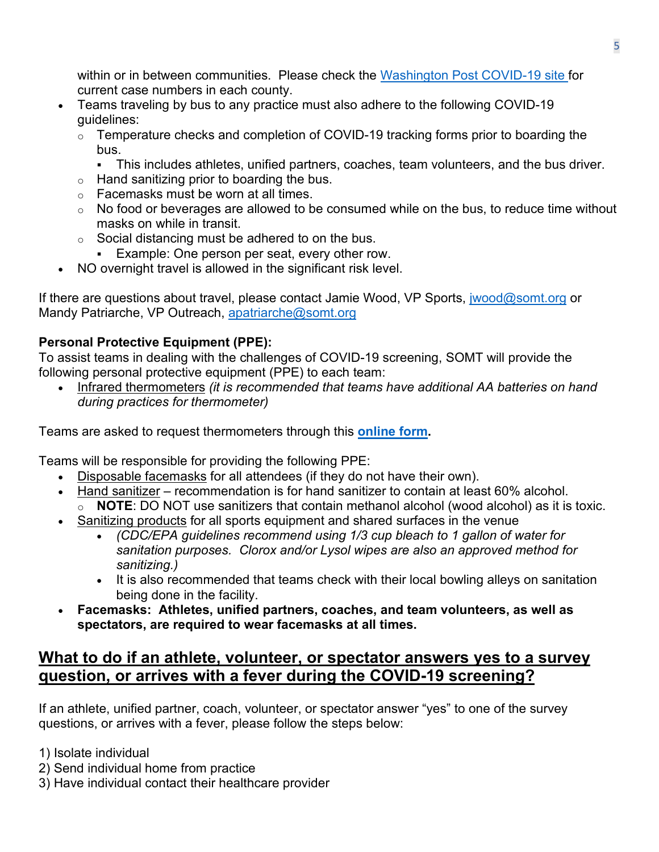within or in between communities. Please check the [Washington Post](https://www.washingtonpost.com/graphics/2020/national/coronavirus-us-cases-deaths/) COVID-19 site for current case numbers in each county.

- Teams traveling by bus to any practice must also adhere to the following COVID-19 guidelines:
	- o Temperature checks and completion of COVID-19 tracking forms prior to boarding the bus.
		- This includes athletes, unified partners, coaches, team volunteers, and the bus driver.
	- $\circ$  Hand sanitizing prior to boarding the bus.
	- o Facemasks must be worn at all times.
	- $\circ$  No food or beverages are allowed to be consumed while on the bus, to reduce time without masks on while in transit.
	- $\circ$  Social distancing must be adhered to on the bus.
		- **Example: One person per seat, every other row.**
- NO overnight travel is allowed in the significant risk level.

If there are questions about travel, please contact Jamie Wood, VP Sports, *[jwood@somt.org](mailto:jwood@somt.org)* or Mandy Patriarche, VP Outreach, apatriarche@somt.org

#### **Personal Protective Equipment (PPE):**

To assist teams in dealing with the challenges of COVID-19 screening, SOMT will provide the following personal protective equipment (PPE) to each team:

• Infrared thermometers *(it is recommended that teams have additional AA batteries on hand during practices for thermometer)*

Teams are asked to request thermometers through this **[online form.](https://www.cognitoforms.com/SpecialOlympicsMontana/_2022BowlingThermometerRequestForm)**

Teams will be responsible for providing the following PPE:

- Disposable facemasks for all attendees (if they do not have their own).
- Hand sanitizer recommendation is for hand sanitizer to contain at least 60% alcohol.
	- NOTE: DO NOT use sanitizers that contain methanol alcohol (wood alcohol) as it is toxic.
- Sanitizing products for all sports equipment and shared surfaces in the venue
	- *(CDC/EPA guidelines recommend using 1/3 cup bleach to 1 gallon of water for sanitation purposes. Clorox and/or Lysol wipes are also an approved method for sanitizing.)*
	- It is also recommended that teams check with their local bowling alleys on sanitation being done in the facility.
- **Facemasks: Athletes, unified partners, coaches, and team volunteers, as well as spectators, are required to wear facemasks at all times.**

#### **What to do if an athlete, volunteer, or spectator answers yes to a survey question, or arrives with a fever during the COVID-19 screening?**

If an athlete, unified partner, coach, volunteer, or spectator answer "yes" to one of the survey questions, or arrives with a fever, please follow the steps below:

1) Isolate individual

- 2) Send individual home from practice
- 3) Have individual contact their healthcare provider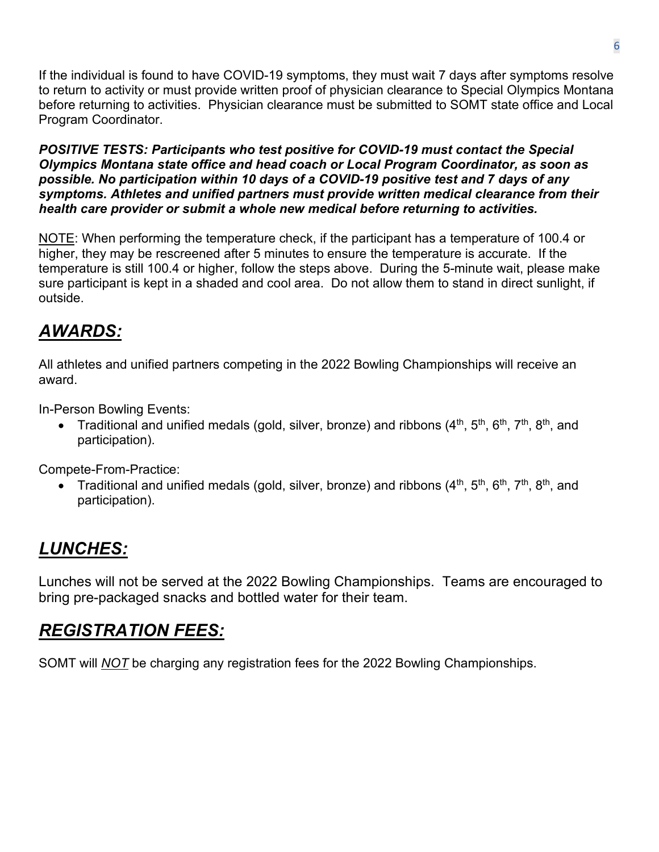If the individual is found to have COVID-19 symptoms, they must wait 7 days after symptoms resolve to return to activity or must provide written proof of physician clearance to Special Olympics Montana before returning to activities. Physician clearance must be submitted to SOMT state office and Local Program Coordinator.

*POSITIVE TESTS: Participants who test positive for COVID-19 must contact the Special Olympics Montana state office and head coach or Local Program Coordinator, as soon as possible. No participation within 10 days of a COVID-19 positive test and 7 days of any symptoms. Athletes and unified partners must provide written medical clearance from their health care provider or submit a whole new medical before returning to activities.* 

NOTE: When performing the temperature check, if the participant has a temperature of 100.4 or higher, they may be rescreened after 5 minutes to ensure the temperature is accurate. If the temperature is still 100.4 or higher, follow the steps above. During the 5-minute wait, please make sure participant is kept in a shaded and cool area. Do not allow them to stand in direct sunlight, if outside.

### *AWARDS:*

All athletes and unified partners competing in the 2022 Bowling Championships will receive an award.

In-Person Bowling Events:

• Traditional and unified medals (gold, silver, bronze) and ribbons  $(4<sup>th</sup>, 5<sup>th</sup>, 6<sup>th</sup>, 7<sup>th</sup>, 8<sup>th</sup>,$  and participation).

Compete-From-Practice:

Traditional and unified medals (gold, silver, bronze) and ribbons (4<sup>th</sup>, 5<sup>th</sup>, 6<sup>th</sup>, 7<sup>th</sup>, 8<sup>th</sup>, and participation).

# *LUNCHES:*

Lunches will not be served at the 2022 Bowling Championships. Teams are encouraged to bring pre-packaged snacks and bottled water for their team.

### *REGISTRATION FEES:*

SOMT will *NOT* be charging any registration fees for the 2022 Bowling Championships.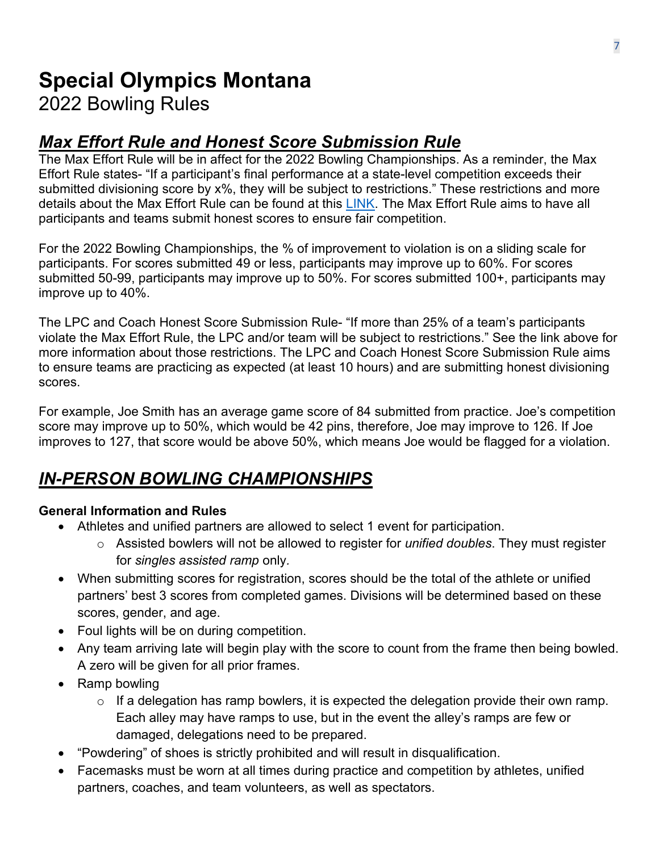# **Special Olympics Montana**

### 2022 Bowling Rules

### *Max Effort Rule and Honest Score Submission Rule*

The Max Effort Rule will be in affect for the 2022 Bowling Championships. As a reminder, the Max Effort Rule states- "If a participant's final performance at a state-level competition exceeds their submitted divisioning score by x%, they will be subject to restrictions." These restrictions and more details about the Max Effort Rule can be found at this [LINK.](https://www.somt.org/wp-content/uploads/2021/11/SOMT-Max-Effort-3-10-2020.pdf) The Max Effort Rule aims to have all participants and teams submit honest scores to ensure fair competition.

For the 2022 Bowling Championships, the % of improvement to violation is on a sliding scale for participants. For scores submitted 49 or less, participants may improve up to 60%. For scores submitted 50-99, participants may improve up to 50%. For scores submitted 100+, participants may improve up to 40%.

The LPC and Coach Honest Score Submission Rule- "If more than 25% of a team's participants violate the Max Effort Rule, the LPC and/or team will be subject to restrictions." See the link above for more information about those restrictions. The LPC and Coach Honest Score Submission Rule aims to ensure teams are practicing as expected (at least 10 hours) and are submitting honest divisioning scores.

For example, Joe Smith has an average game score of 84 submitted from practice. Joe's competition score may improve up to 50%, which would be 42 pins, therefore, Joe may improve to 126. If Joe improves to 127, that score would be above 50%, which means Joe would be flagged for a violation.

### *IN-PERSON BOWLING CHAMPIONSHIPS*

#### **General Information and Rules**

- Athletes and unified partners are allowed to select 1 event for participation.
	- o Assisted bowlers will not be allowed to register for *unified doubles*. They must register for *singles assisted ramp* only*.*
- When submitting scores for registration, scores should be the total of the athlete or unified partners' best 3 scores from completed games. Divisions will be determined based on these scores, gender, and age.
- Foul lights will be on during competition.
- Any team arriving late will begin play with the score to count from the frame then being bowled. A zero will be given for all prior frames.
- Ramp bowling
	- $\circ$  If a delegation has ramp bowlers, it is expected the delegation provide their own ramp. Each alley may have ramps to use, but in the event the alley's ramps are few or damaged, delegations need to be prepared.
- "Powdering" of shoes is strictly prohibited and will result in disqualification.
- Facemasks must be worn at all times during practice and competition by athletes, unified partners, coaches, and team volunteers, as well as spectators.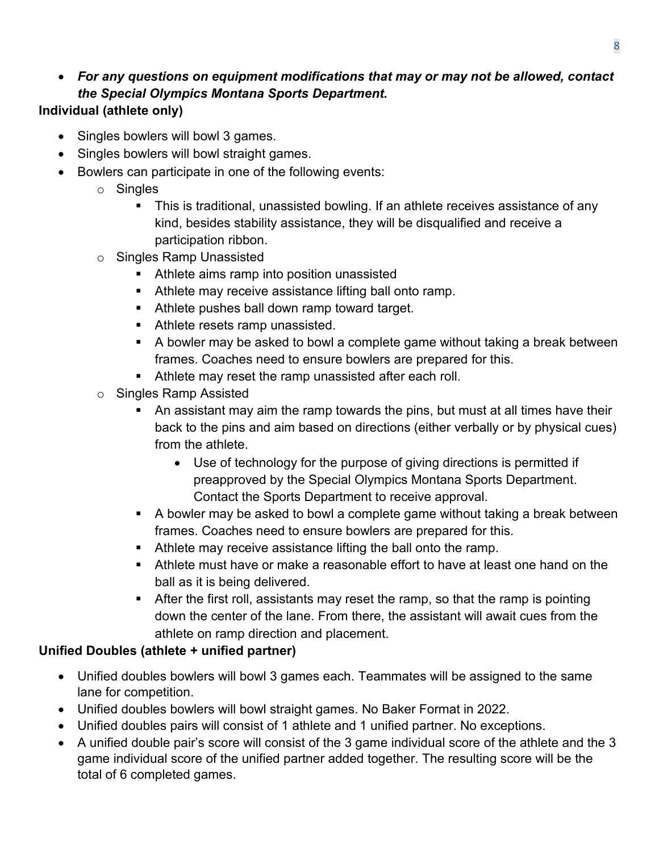#### • *For any questions on equipment modifications that may or may not be allowed, contact the Special Olympics Montana Sports Department.*  **Individual (athlete only)**

# • Singles bowlers will bowl 3 games.

- Singles bowlers will bowl straight games.
- Bowlers can participate in one of the following events:
	- o Singles
		- This is traditional, unassisted bowling. If an athlete receives assistance of any kind, besides stability assistance, they will be disqualified and receive a participation ribbon.
	- o Singles Ramp Unassisted
		- Athlete aims ramp into position unassisted
		- **Athlete may receive assistance lifting ball onto ramp.**
		- **Athlete pushes ball down ramp toward target.**
		- **Athlete resets ramp unassisted.**
		- A bowler may be asked to bowl a complete game without taking a break between frames. Coaches need to ensure bowlers are prepared for this.
		- Athlete may reset the ramp unassisted after each roll.
	- o Singles Ramp Assisted
		- An assistant may aim the ramp towards the pins, but must at all times have their back to the pins and aim based on directions (either verbally or by physical cues) from the athlete.
			- Use of technology for the purpose of giving directions is permitted if preapproved by the Special Olympics Montana Sports Department. Contact the Sports Department to receive approval.
		- A bowler may be asked to bowl a complete game without taking a break between frames. Coaches need to ensure bowlers are prepared for this.
		- Athlete may receive assistance lifting the ball onto the ramp.
		- Athlete must have or make a reasonable effort to have at least one hand on the ball as it is being delivered.
		- After the first roll, assistants may reset the ramp, so that the ramp is pointing down the center of the lane. From there, the assistant will await cues from the athlete on ramp direction and placement.

#### **Unified Doubles (athlete + unified partner)**

- Unified doubles bowlers will bowl 3 games each. Teammates will be assigned to the same lane for competition.
- Unified doubles bowlers will bowl straight games. No Baker Format in 2022.
- Unified doubles pairs will consist of 1 athlete and 1 unified partner. No exceptions.
- A unified double pair's score will consist of the 3 game individual score of the athlete and the 3 game individual score of the unified partner added together. The resulting score will be the total of 6 completed games.